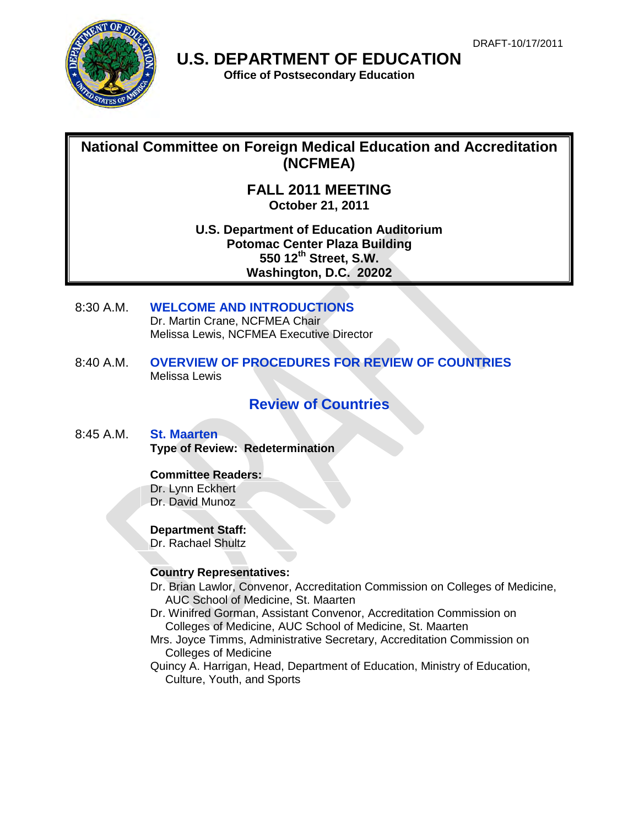

**U.S. DEPARTMENT OF EDUCATION** 

**Office of Postsecondary Education**

# **National Committee on Foreign Medical Education and Accreditation (NCFMEA)**

**FALL 2011 MEETING October 21, 2011**

**U.S. Department of Education Auditorium Potomac Center Plaza Building 550 12th Street, S.W. Washington, D.C. 20202**

- 8:30 A.M. **WELCOME AND INTRODUCTIONS** Dr. Martin Crane, NCFMEA Chair Melissa Lewis, NCFMEA Executive Director
- 8:40 A.M. **OVERVIEW OF PROCEDURES FOR REVIEW OF COUNTRIES**  Melissa Lewis

# **Review of Countries**

8:45 A.M. **St. Maarten Type of Review: Redetermination** 

# **Committee Readers:**

Dr. Lynn Eckhert Dr. David Munoz

# **Department Staff:**

Dr. Rachael Shultz

# **Country Representatives:**

- Dr. Brian Lawlor, Convenor, Accreditation Commission on Colleges of Medicine, AUC School of Medicine, St. Maarten
- Dr. Winifred Gorman, Assistant Convenor, Accreditation Commission on Colleges of Medicine, AUC School of Medicine, St. Maarten
- Mrs. Joyce Timms, Administrative Secretary, Accreditation Commission on Colleges of Medicine
- Quincy A. Harrigan, Head, Department of Education, Ministry of Education, Culture, Youth, and Sports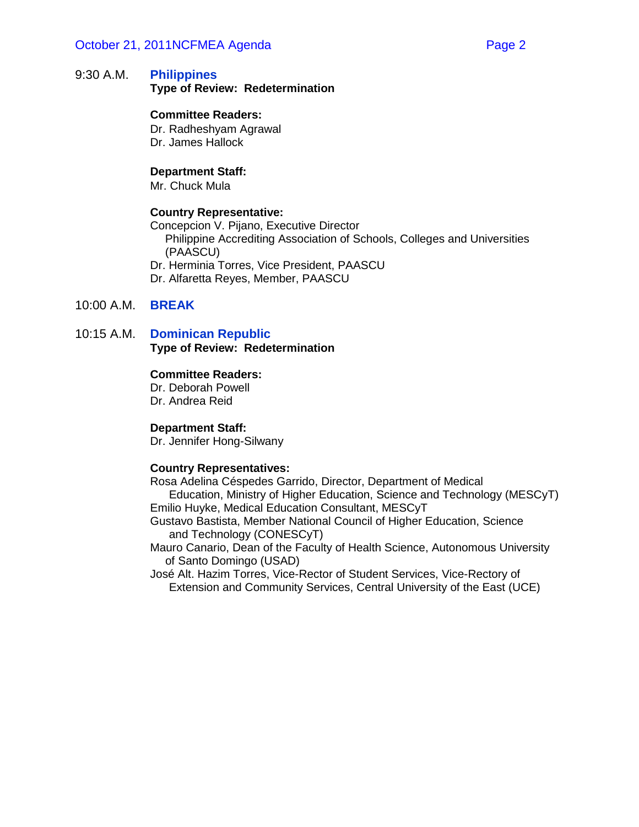### October 21, 2011NCFMEA Agenda Page 2

### 9:30 A.M. **Philippines Type of Review: Redetermination**

#### **Committee Readers:**

Dr. Radheshyam Agrawal Dr. James Hallock

#### **Department Staff:**

Mr. Chuck Mula

#### **Country Representative:**

Concepcion V. Pijano, Executive Director Philippine Accrediting Association of Schools, Colleges and Universities (PAASCU) Dr. Herminia Torres, Vice President, PAASCU Dr. Alfaretta Reyes, Member, PAASCU

### 10:00 A.M. **BREAK**

### 10:15 A.M. **Dominican Republic Type of Review: Redetermination**

#### **Committee Readers:**

Dr. Deborah Powell Dr. Andrea Reid

#### **Department Staff:**

Dr. Jennifer Hong-Silwany

#### **Country Representatives:**

Rosa Adelina Céspedes Garrido, Director, Department of Medical Education, Ministry of Higher Education, Science and Technology (MESCyT) Emilio Huyke, Medical Education Consultant, MESCyT

Gustavo Bastista, Member National Council of Higher Education, Science and Technology (CONESCyT)

Mauro Canario, Dean of the Faculty of Health Science, Autonomous University of Santo Domingo (USAD)

José Alt. Hazim Torres, Vice-Rector of Student Services, Vice-Rectory of Extension and Community Services, Central University of the East (UCE)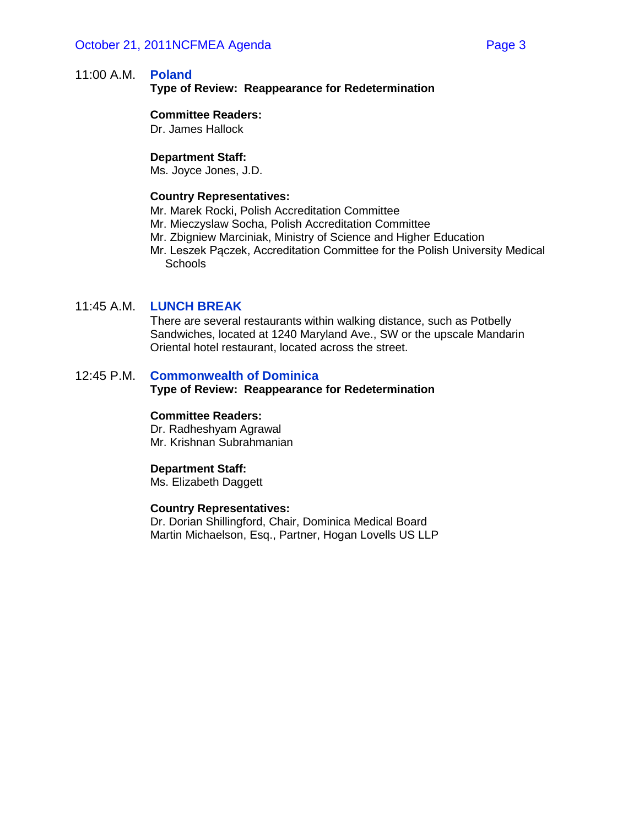### 11:00 A.M. **Poland**

**Type of Review: Reappearance for Redetermination**

#### **Committee Readers:**

Dr. James Hallock

#### **Department Staff:**

Ms. Joyce Jones, J.D.

#### **Country Representatives:**

Mr. Marek Rocki, Polish Accreditation Committee

- Mr. Mieczyslaw Socha, Polish Accreditation Committee
- Mr. Zbigniew Marciniak, Ministry of Science and Higher Education
- Mr. Leszek Pączek, Accreditation Committee for the Polish University Medical **Schools**

### 11:45 A.M. **LUNCH BREAK**

There are several restaurants within walking distance, such as Potbelly Sandwiches, located at 1240 Maryland Ave., SW or the upscale Mandarin Oriental hotel restaurant, located across the street.

#### 12:45 P.M. **Commonwealth of Dominica**

#### **Type of Review: Reappearance for Redetermination**

#### **Committee Readers:**

Dr. Radheshyam Agrawal Mr. Krishnan Subrahmanian

#### **Department Staff:**

Ms. Elizabeth Daggett

#### **Country Representatives:**

Dr. Dorian Shillingford, Chair, Dominica Medical Board Martin Michaelson, Esq., Partner, Hogan Lovells US LLP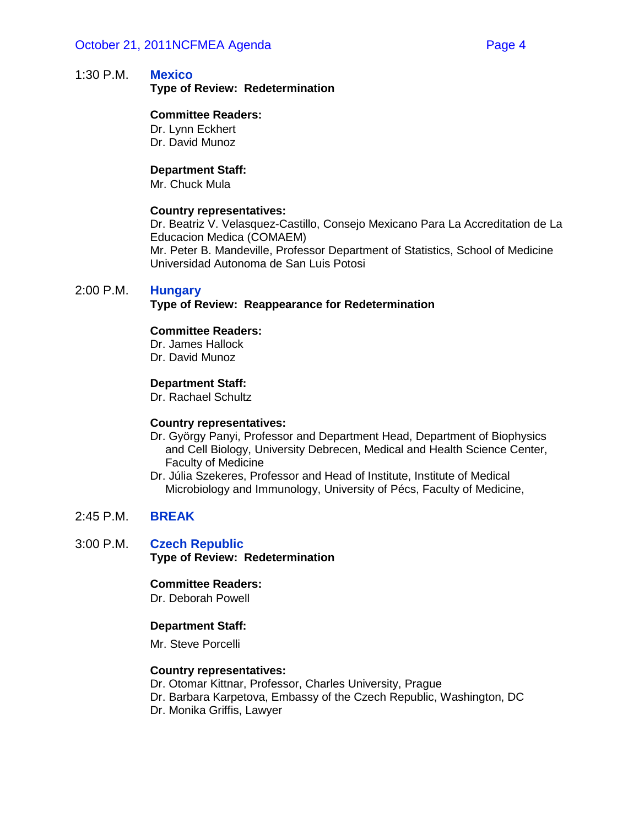**Type of Review: Redetermination**

### **Committee Readers:**

Dr. Lynn Eckhert Dr. David Munoz

### **Department Staff:**

Mr. Chuck Mula

### **Country representatives:**

Dr. Beatriz V. Velasquez-Castillo, Consejo Mexicano Para La Accreditation de La Educacion Medica (COMAEM) Mr. Peter B. Mandeville, Professor Department of Statistics, School of Medicine

Universidad Autonoma de San Luis Potosi

### 2:00 P.M. **Hungary**

### **Type of Review: Reappearance for Redetermination**

### **Committee Readers:**

Dr. James Hallock Dr. David Munoz

### **Department Staff:**

Dr. Rachael Schultz

### **Country representatives:**

- Dr. György Panyi, Professor and Department Head, Department of Biophysics and Cell Biology, University Debrecen, Medical and Health Science Center, Faculty of Medicine
- Dr. Júlia Szekeres, Professor and Head of Institute, Institute of Medical Microbiology and Immunology, University of Pécs, Faculty of Medicine,

# 2:45 P.M. **BREAK**

3:00 P.M. **Czech Republic Type of Review: Redetermination**

### **Committee Readers:**

Dr. Deborah Powell

### **Department Staff:**

Mr. Steve Porcelli

### **Country representatives:**

Dr. Otomar Kittnar, Professor, Charles University, Prague Dr. Barbara Karpetova, Embassy of the Czech Republic, Washington, DC Dr. Monika Griffis, Lawyer